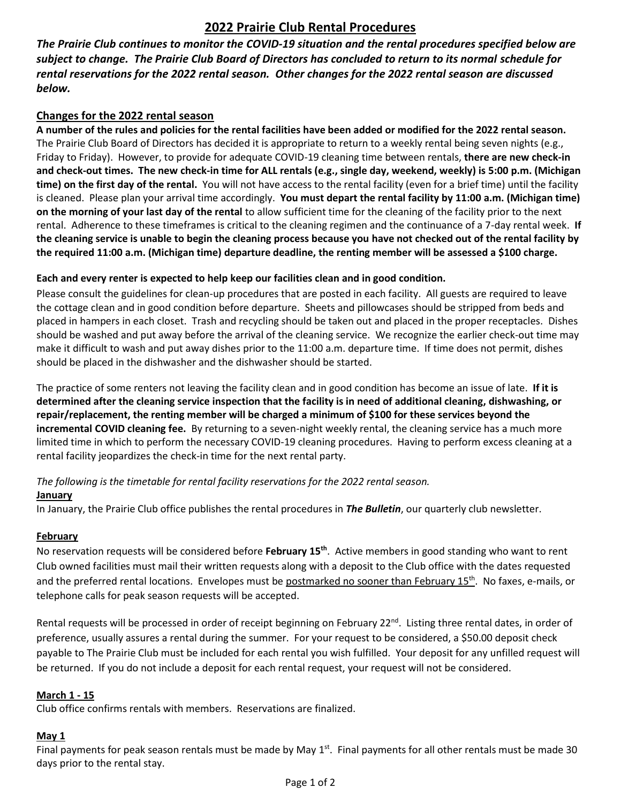# **2022 Prairie Club Rental Procedures**

*The Prairie Club continues to monitor the COVID-19 situation and the rental procedures specified below are subject to change. The Prairie Club Board of Directors has concluded to return to its normal schedule for rental reservations for the 2022 rental season. Other changes for the 2022 rental season are discussed below.*

## **Changes for the 2022 rental season**

**A number of the rules and policies for the rental facilities have been added or modified for the 2022 rental season.**  The Prairie Club Board of Directors has decided it is appropriate to return to a weekly rental being seven nights (e.g., Friday to Friday). However, to provide for adequate COVID-19 cleaning time between rentals, **there are new check-in and check-out times. The new check-in time for ALL rentals (e.g., single day, weekend, weekly) is 5:00 p.m. (Michigan time) on the first day of the rental.** You will not have access to the rental facility (even for a brief time) until the facility is cleaned. Please plan your arrival time accordingly. **You must depart the rental facility by 11:00 a.m. (Michigan time) on the morning of your last day of the rental** to allow sufficient time for the cleaning of the facility prior to the next rental. Adherence to these timeframes is critical to the cleaning regimen and the continuance of a 7-day rental week. **If the cleaning service is unable to begin the cleaning process because you have not checked out of the rental facility by the required 11:00 a.m. (Michigan time) departure deadline, the renting member will be assessed a \$100 charge.**

### **Each and every renter is expected to help keep our facilities clean and in good condition.**

Please consult the guidelines for clean-up procedures that are posted in each facility. All guests are required to leave the cottage clean and in good condition before departure. Sheets and pillowcases should be stripped from beds and placed in hampers in each closet. Trash and recycling should be taken out and placed in the proper receptacles. Dishes should be washed and put away before the arrival of the cleaning service. We recognize the earlier check-out time may make it difficult to wash and put away dishes prior to the 11:00 a.m. departure time. If time does not permit, dishes should be placed in the dishwasher and the dishwasher should be started.

The practice of some renters not leaving the facility clean and in good condition has become an issue of late. **If it is determined after the cleaning service inspection that the facility is in need of additional cleaning, dishwashing, or repair/replacement, the renting member will be charged a minimum of \$100 for these services beyond the incremental COVID cleaning fee.** By returning to a seven-night weekly rental, the cleaning service has a much more limited time in which to perform the necessary COVID-19 cleaning procedures. Having to perform excess cleaning at a rental facility jeopardizes the check-in time for the next rental party.

### *The following is the timetable for rental facility reservations for the 2022 rental season.*

### **January**

In January, the Prairie Club office publishes the rental procedures in *The Bulletin*, our quarterly club newsletter.

### **February**

No reservation requests will be considered before **February 15th** . Active members in good standing who want to rent Club owned facilities must mail their written requests along with a deposit to the Club office with the dates requested and the preferred rental locations. Envelopes must be postmarked no sooner than February 15<sup>th</sup>. No faxes, e-mails, or telephone calls for peak season requests will be accepted.

Rental requests will be processed in order of receipt beginning on February 22<sup>nd</sup>. Listing three rental dates, in order of preference, usually assures a rental during the summer. For your request to be considered, a \$50.00 deposit check payable to The Prairie Club must be included for each rental you wish fulfilled. Your deposit for any unfilled request will be returned. If you do not include a deposit for each rental request, your request will not be considered.

### **March 1 - 15**

Club office confirms rentals with members. Reservations are finalized.

### **May 1**

Final payments for peak season rentals must be made by May 1<sup>st</sup>. Final payments for all other rentals must be made 30 days prior to the rental stay.